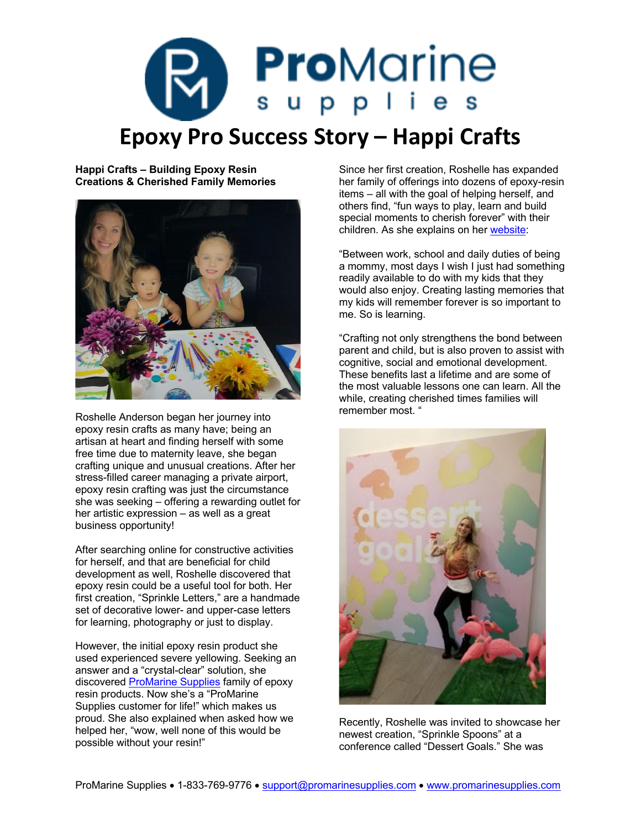## **Pro**Marine **Epoxy Pro Success Story – Happi Crafts**

**Happi Crafts – Building Epoxy Resin Creations & Cherished Family Memories**



Roshelle Anderson began her journey into epoxy resin crafts as many have; being an artisan at heart and finding herself with some free time due to maternity leave, she began crafting unique and unusual creations. After her stress-filled career managing a private airport, epoxy resin crafting was just the circumstance she was seeking – offering a rewarding outlet for her artistic expression – as well as a great business opportunity!

After searching online for constructive activities for herself, and that are beneficial for child development as well, Roshelle discovered that epoxy resin could be a useful tool for both. Her first creation, "Sprinkle Letters," are a handmade set of decorative lower- and upper-case letters for learning, photography or just to display.

However, the initial epoxy resin product she used experienced severe yellowing. Seeking an answer and a "crystal-clear" solution, she discovered [ProMarine Supplies](https://promarinesupplies.com/) family of epoxy resin products. Now she's a "ProMarine Supplies customer for life!" which makes us proud. She also explained when asked how we helped her, "wow, well none of this would be possible without your resin!"

Since her first creation, Roshelle has expanded her family of offerings into dozens of epoxy-resin items – all with the goal of helping herself, and others find, "fun ways to play, learn and build special moments to cherish forever" with their children. As she explains on her [website](https://www.happicrafts.com/):

"Between work, school and daily duties of being a mommy, most days I wish I just had something readily available to do with my kids that they would also enjoy. Creating lasting memories that my kids will remember forever is so important to me. So is learning.

"Crafting not only strengthens the bond between parent and child, but is also proven to assist with cognitive, social and emotional development. These benefits last a lifetime and are some of the most valuable lessons one can learn. All the while, creating cherished times families will remember most. "



Recently, Roshelle was invited to showcase her newest creation, "Sprinkle Spoons" at a conference called "Dessert Goals." She was